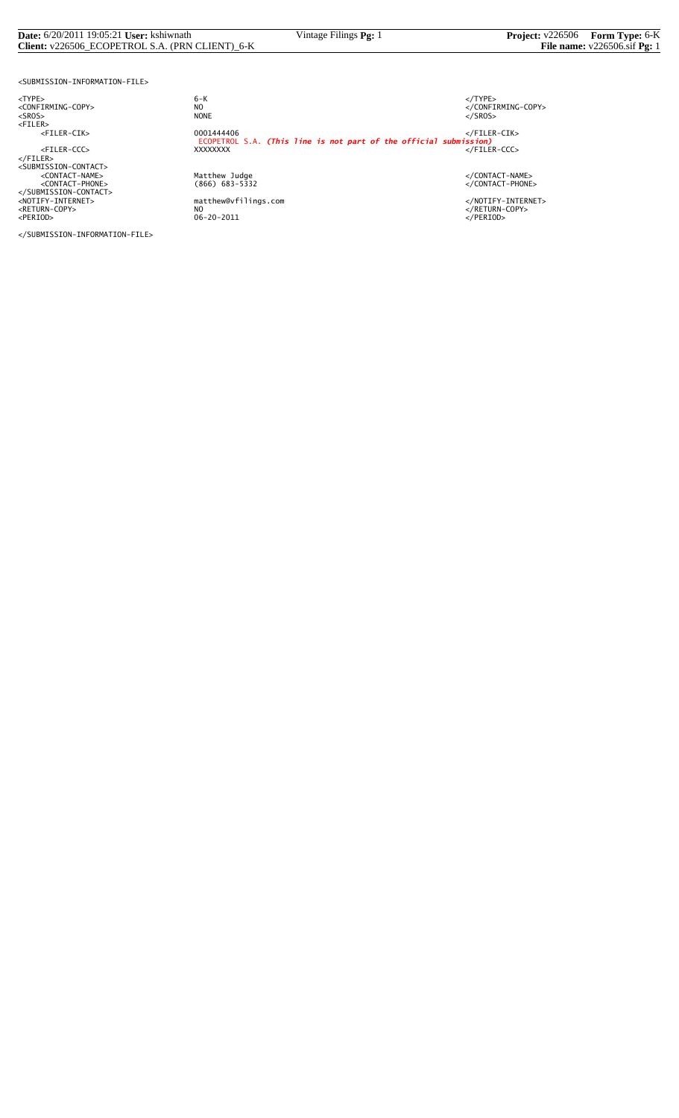#### **Date:** 6/20/2011 19:05:21 **User:** kshiwnath Vintage Filings **Pg:** 1 **Project:** v226506 **Form Type:** 6-K **Client:** v226506\_ECOPETROL S.A. (PRN CLIENT)\_6-K **File name:** v226506.sif **Pg:** 1

<SUBMISSION-INFORMATION-FILE>

</SUBMISSION-INFORMATION-FILE>

<TYPE> 6-K </TYPE>  $6 - K$ NO<br>
NO<br>
NONE<br>
NONE<br>
NONE<br>
S/SROS> <SROS> NONE </SROS> <FILER> <FILER-CIK> 0001444406 </FILER-CIK> ECOPETROL S.A. *(This line is not part of the official submission)* <FILER-CCC> XXXXXXXX </FILER-CCC> </FILER> <SUBMISSION-CONTACT> <CONTACT-NAME> Matthew Judge </CONTACT-NAME> <CONTACT-PHONE> (866) 683-5332 </CONTACT-PHONE> </SUBMISSION-CONTACT> <NOTIFY-INTERNET> matthew@vfilings.com </NOTIFY-INTERNET> <RETURN-COPY> NO </RETURN-COPY> <PERIOD> 06-20-2011 </PERIOD>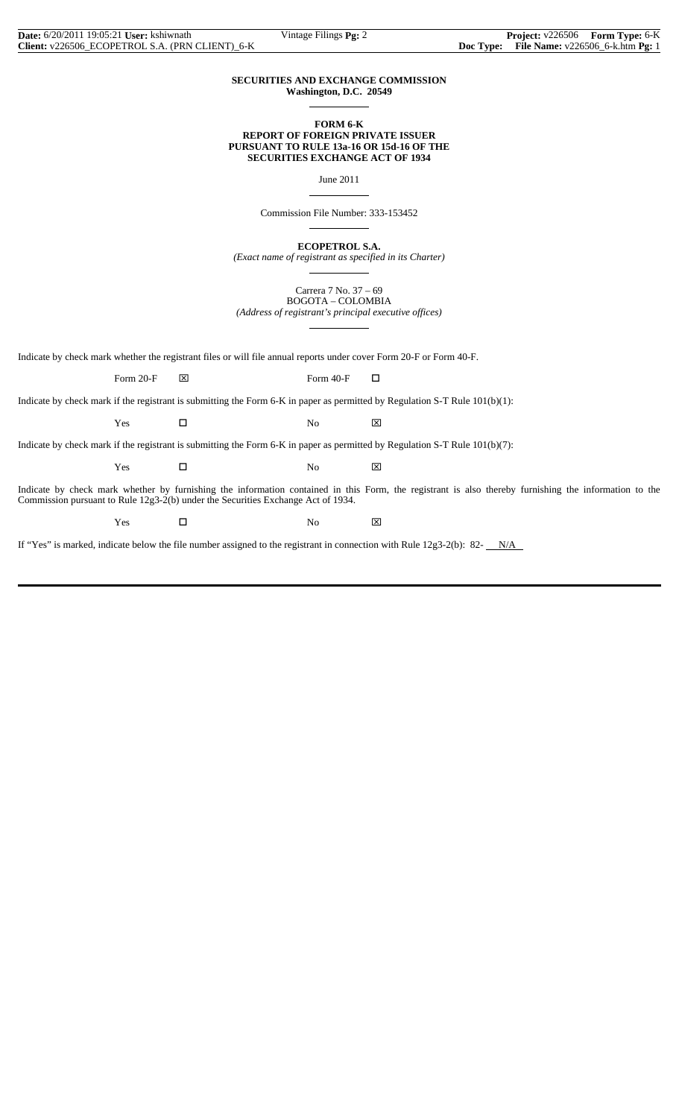## **SECURITIES AND EXCHANGE COMMISSION Washington, D.C. 20549**

 $\overline{a}$ 

 $\overline{a}$ 

 $\overline{a}$ 

 $\overline{a}$ 

## **FORM 6-K REPORT OF FOREIGN PRIVATE ISSUER PURSUANT TO RULE 13a-16 OR 15d-16 OF THE SECURITIES EXCHANGE ACT OF 1934**

June 2011

Commission File Number: 333-153452

**ECOPETROL S.A.**

*(Exact name of registrant as specified in its Charter)*  $\overline{a}$ 

> Carrera 7 No. 37 – 69 BOGOTA – COLOMBIA

*(Address of registrant's principal executive offices)*

Indicate by check mark whether the registrant files or will file annual reports under cover Form 20-F or Form 40-F.

Form 20-F  $\boxtimes$  Form 40-F  $\Box$ 

Indicate by check mark if the registrant is submitting the Form 6-K in paper as permitted by Regulation S-T Rule 101(b)(1):

 $Yes$   $\Box$  No  $\boxtimes$ 

Indicate by check mark if the registrant is submitting the Form 6-K in paper as permitted by Regulation S-T Rule 101(b)(7):

 $Yes$   $\Box$  No  $\boxtimes$ 

Indicate by check mark whether by furnishing the information contained in this Form, the registrant is also thereby furnishing the information to the Commission pursuant to Rule 12g3-2(b) under the Securities Exchange Act of 1934.

Yes □ No ⊠

If "Yes" is marked, indicate below the file number assigned to the registrant in connection with Rule  $12g3-2(b)$ : 82- $N/A$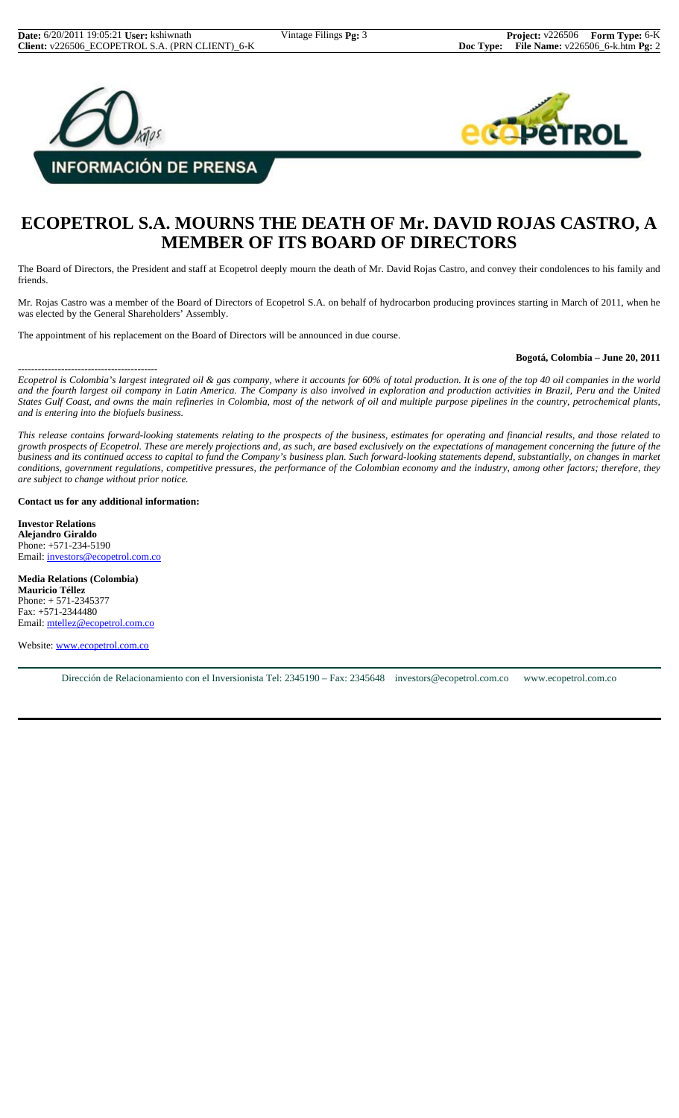



# **ECOPETROL S.A. MOURNS THE DEATH OF Mr. DAVID ROJAS CASTRO, A MEMBER OF ITS BOARD OF DIRECTORS**

The Board of Directors, the President and staff at Ecopetrol deeply mourn the death of Mr. David Rojas Castro, and convey their condolences to his family and friends.

Mr. Rojas Castro was a member of the Board of Directors of Ecopetrol S.A. on behalf of hydrocarbon producing provinces starting in March of 2011, when he was elected by the General Shareholders' Assembly.

The appointment of his replacement on the Board of Directors will be announced in due course.

# **Bogotá, Colombia – June 20, 2011**

*Ecopetrol is Colombia's largest integrated oil & gas company, where it accounts for 60% of total production. It is one of the top 40 oil companies in the world and the fourth largest oil company in Latin America. The Company is also involved in exploration and production activities in Brazil, Peru and the United States Gulf Coast, and owns the main refineries in Colombia, most of the network of oil and multiple purpose pipelines in the country, petrochemical plants, and is entering into the biofuels business.*

*This release contains forward-looking statements relating to the prospects of the business, estimates for operating and financial results, and those related to growth prospects of Ecopetrol. These are merely projections and, as such, are based exclusively on the expectations of management concerning the future of the business and its continued access to capital to fund the Company's business plan. Such forward-looking statements depend, substantially, on changes in market conditions, government regulations, competitive pressures, the performance of the Colombian economy and the industry, among other factors; therefore, they are subject to change without prior notice.*

#### **Contact us for any additional information:**

**Investor Relations Alejandro Giraldo** Phone: +571-234-5190 Email: investors@ecopetrol.com.co

------------------------------------------

**Media Relations (Colombia) Mauricio Téllez** Phone: + 571-2345377 Fax: +571-2344480 Email: mtellez@ecopetrol.com.co

Website: www.ecopetrol.com.co

Dirección de Relacionamiento con el Inversionista Tel: 2345190 – Fax: 2345648 investors@ecopetrol.com.co www.ecopetrol.com.co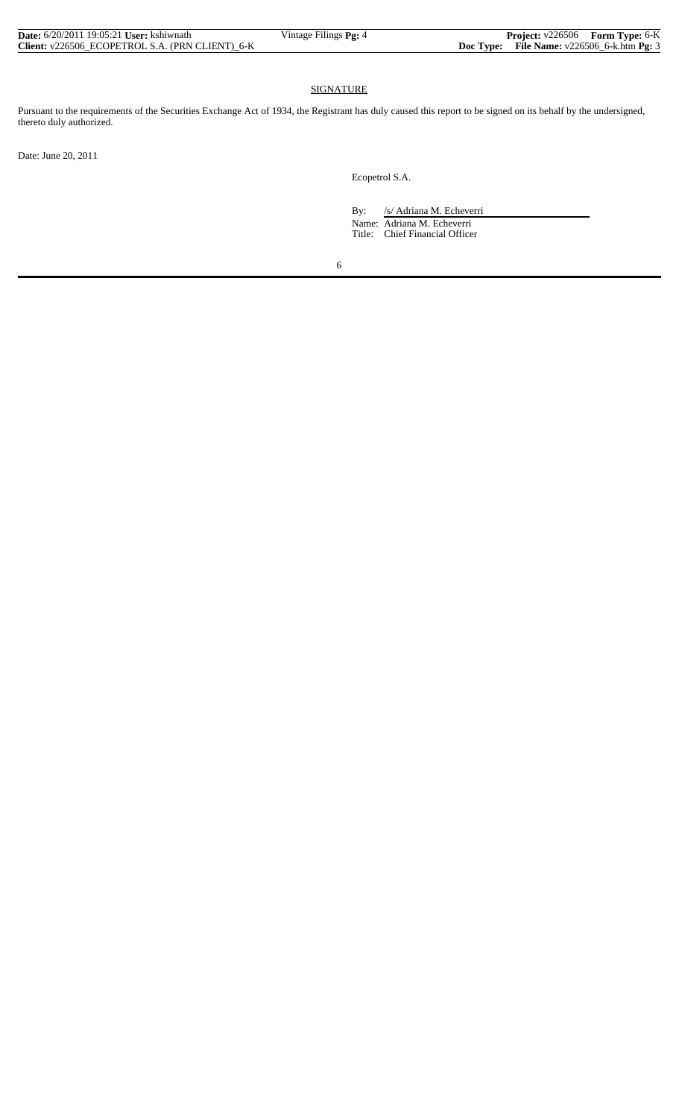| <b>Date:</b> 6/20/2011 19:05:21 <b>User:</b> kshiwnath | Vintage Filings Pg: 4 | <b>Project:</b> v226506 Form Type: 6-K              |  |
|--------------------------------------------------------|-----------------------|-----------------------------------------------------|--|
| Client: v226506 ECOPETROL S.A. (PRN CLIENT) 6-K        |                       | <b>Doc Type:</b> File Name: $v226506$ 6-k.htm Pg: 3 |  |

# SIGNATURE

Pursuant to the requirements of the Securities Exchange Act of 1934, the Registrant has duly caused this report to be signed on its behalf by the undersigned, thereto duly authorized.

Date: June 20, 2011

Ecopetrol S.A.

By: /s/ Adriana M. Echeverri Name: Adriana M. Echeverri Title: Chief Financial Officer

6